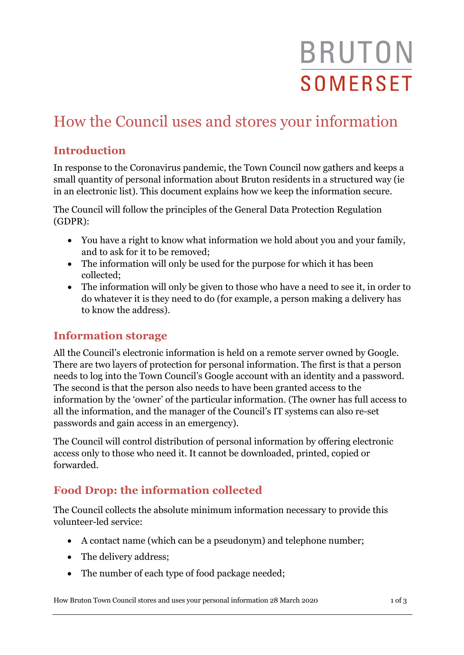# **BRUTON SOMERSET**

# How the Council uses and stores your information

# **Introduction**

In response to the Coronavirus pandemic, the Town Council now gathers and keeps a small quantity of personal information about Bruton residents in a structured way (ie in an electronic list). This document explains how we keep the information secure.

The Council will follow the principles of the General Data Protection Regulation (GDPR):

- You have a right to know what information we hold about you and your family, and to ask for it to be removed;
- The information will only be used for the purpose for which it has been collected;
- The information will only be given to those who have a need to see it, in order to do whatever it is they need to do (for example, a person making a delivery has to know the address).

### **Information storage**

All the Council's electronic information is held on a remote server owned by Google. There are two layers of protection for personal information. The first is that a person needs to log into the Town Council's Google account with an identity and a password. The second is that the person also needs to have been granted access to the information by the 'owner' of the particular information. (The owner has full access to all the information, and the manager of the Council's IT systems can also re-set passwords and gain access in an emergency).

The Council will control distribution of personal information by offering electronic access only to those who need it. It cannot be downloaded, printed, copied or forwarded.

# **Food Drop: the information collected**

The Council collects the absolute minimum information necessary to provide this volunteer-led service:

- A contact name (which can be a pseudonym) and telephone number;
- The delivery address;
- The number of each type of food package needed;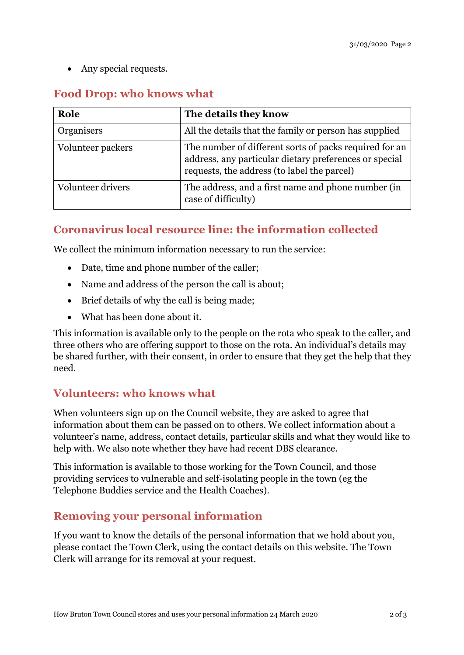• Any special requests.

#### **Food Drop: who knows what**

| Role              | The details they know                                                                                                                                           |
|-------------------|-----------------------------------------------------------------------------------------------------------------------------------------------------------------|
| Organisers        | All the details that the family or person has supplied                                                                                                          |
| Volunteer packers | The number of different sorts of packs required for an<br>address, any particular dietary preferences or special<br>requests, the address (to label the parcel) |
| Volunteer drivers | The address, and a first name and phone number (in<br>case of difficulty)                                                                                       |

## **Coronavirus local resource line: the information collected**

We collect the minimum information necessary to run the service:

- Date, time and phone number of the caller;
- Name and address of the person the call is about;
- Brief details of why the call is being made;
- What has been done about it.

This information is available only to the people on the rota who speak to the caller, and three others who are offering support to those on the rota. An individual's details may be shared further, with their consent, in order to ensure that they get the help that they need.

#### **Volunteers: who knows what**

When volunteers sign up on the Council website, they are asked to agree that information about them can be passed on to others. We collect information about a volunteer's name, address, contact details, particular skills and what they would like to help with. We also note whether they have had recent DBS clearance.

This information is available to those working for the Town Council, and those providing services to vulnerable and self-isolating people in the town (eg the Telephone Buddies service and the Health Coaches).

### **Removing your personal information**

If you want to know the details of the personal information that we hold about you, please contact the Town Clerk, using the contact details on this website. The Town Clerk will arrange for its removal at your request.